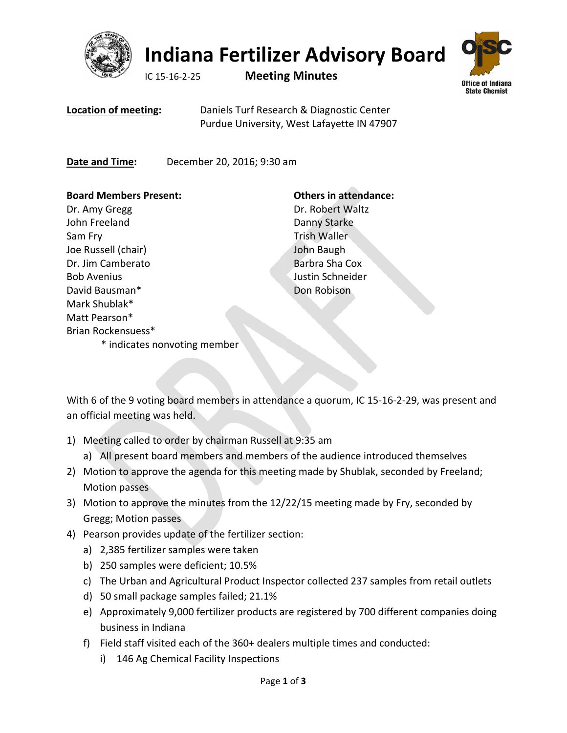

## **Indiana Fertilizer Advisory Board**

IC 15‐16‐2‐25 **Meeting Minutes**



**Location of meeting:** Daniels Turf Research & Diagnostic Center Purdue University, West Lafayette IN 47907

**Date and Time:** December 20, 2016; 9:30 am

## **Board Members Present:**

Dr. Amy Gregg John Freeland Sam Fry Joe Russell (chair) Dr. Jim Camberato Bob Avenius David Bausman\* Mark Shublak\* Matt Pearson\* Brian Rockensuess\* \* indicates nonvoting member

## **Others in attendance:**

Dr. Robert Waltz Danny Starke Trish Waller John Baugh Barbra Sha Cox Justin Schneider Don Robison

With 6 of the 9 voting board members in attendance a quorum, IC 15‐16‐2‐29, was present and an official meeting was held.

- 1) Meeting called to order by chairman Russell at 9:35 am
	- a) All present board members and members of the audience introduced themselves
- 2) Motion to approve the agenda for this meeting made by Shublak, seconded by Freeland; Motion passes
- 3) Motion to approve the minutes from the 12/22/15 meeting made by Fry, seconded by Gregg; Motion passes
- 4) Pearson provides update of the fertilizer section:
	- a) 2,385 fertilizer samples were taken
	- b) 250 samples were deficient; 10.5%
	- c) The Urban and Agricultural Product Inspector collected 237 samples from retail outlets
	- d) 50 small package samples failed; 21.1%
	- e) Approximately 9,000 fertilizer products are registered by 700 different companies doing business in Indiana
	- f) Field staff visited each of the 360+ dealers multiple times and conducted:
		- i) 146 Ag Chemical Facility Inspections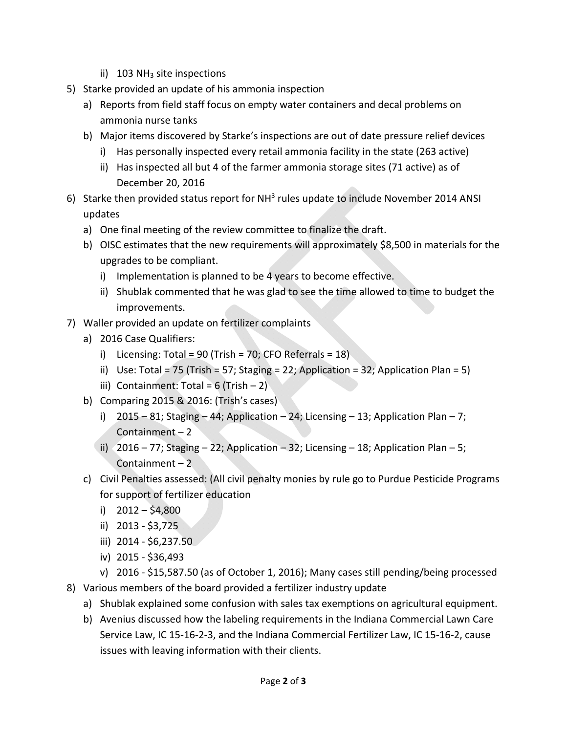- ii)  $103$  NH<sub>3</sub> site inspections
- 5) Starke provided an update of his ammonia inspection
	- a) Reports from field staff focus on empty water containers and decal problems on ammonia nurse tanks
	- b) Major items discovered by Starke's inspections are out of date pressure relief devices
		- i) Has personally inspected every retail ammonia facility in the state (263 active)
		- ii) Has inspected all but 4 of the farmer ammonia storage sites (71 active) as of December 20, 2016
- 6) Starke then provided status report for  $NH<sup>3</sup>$  rules update to include November 2014 ANSI updates
	- a) One final meeting of the review committee to finalize the draft.
	- b) OISC estimates that the new requirements will approximately \$8,500 in materials for the upgrades to be compliant.
		- i) Implementation is planned to be 4 years to become effective.
		- ii) Shublak commented that he was glad to see the time allowed to time to budget the improvements.
- 7) Waller provided an update on fertilizer complaints
	- a) 2016 Case Qualifiers:
		- i) Licensing: Total = 90 (Trish = 70; CFO Referrals = 18)
		- ii) Use: Total = 75 (Trish = 57; Staging = 22; Application = 32; Application Plan = 5)
		- iii) Containment: Total =  $6$  (Trish  $-2$ )
	- b) Comparing 2015 & 2016: (Trish's cases)
		- i)  $2015 81$ ; Staging  $-44$ ; Application  $-24$ ; Licensing  $-13$ ; Application Plan  $-7$ ; Containment – 2
		- ii) 2016 77; Staging 22; Application 32; Licensing 18; Application Plan 5; Containment – 2
	- c) Civil Penalties assessed: (All civil penalty monies by rule go to Purdue Pesticide Programs for support of fertilizer education
		- i)  $2012 $4,800$
		- ii) 2013 ‐ \$3,725
		- iii) 2014 ‐ \$6,237.50
		- iv) 2015 ‐ \$36,493
		- v) 2016 ‐ \$15,587.50 (as of October 1, 2016); Many cases still pending/being processed
- 8) Various members of the board provided a fertilizer industry update
	- a) Shublak explained some confusion with sales tax exemptions on agricultural equipment.
	- b) Avenius discussed how the labeling requirements in the Indiana Commercial Lawn Care Service Law, IC 15‐16‐2‐3, and the Indiana Commercial Fertilizer Law, IC 15‐16‐2, cause issues with leaving information with their clients.